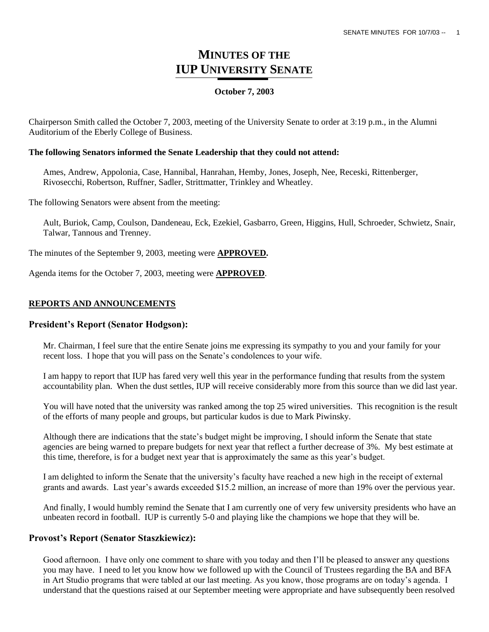# **MINUTES OF THE IUP UNIVERSITY SENATE**

## **October 7, 2003**

Chairperson Smith called the October 7, 2003, meeting of the University Senate to order at 3:19 p.m., in the Alumni Auditorium of the Eberly College of Business.

## **The following Senators informed the Senate Leadership that they could not attend:**

Ames, Andrew, Appolonia, Case, Hannibal, Hanrahan, Hemby, Jones, Joseph, Nee, Receski, Rittenberger, Rivosecchi, Robertson, Ruffner, Sadler, Strittmatter, Trinkley and Wheatley.

The following Senators were absent from the meeting:

Ault, Buriok, Camp, Coulson, Dandeneau, Eck, Ezekiel, Gasbarro, Green, Higgins, Hull, Schroeder, Schwietz, Snair, Talwar, Tannous and Trenney.

The minutes of the September 9, 2003, meeting were **APPROVED.**

Agenda items for the October 7, 2003, meeting were **APPROVED**.

## **REPORTS AND ANNOUNCEMENTS**

## **President's Report (Senator Hodgson):**

Mr. Chairman, I feel sure that the entire Senate joins me expressing its sympathy to you and your family for your recent loss. I hope that you will pass on the Senate"s condolences to your wife.

I am happy to report that IUP has fared very well this year in the performance funding that results from the system accountability plan. When the dust settles, IUP will receive considerably more from this source than we did last year.

You will have noted that the university was ranked among the top 25 wired universities. This recognition is the result of the efforts of many people and groups, but particular kudos is due to Mark Piwinsky.

Although there are indications that the state"s budget might be improving, I should inform the Senate that state agencies are being warned to prepare budgets for next year that reflect a further decrease of 3%. My best estimate at this time, therefore, is for a budget next year that is approximately the same as this year"s budget.

I am delighted to inform the Senate that the university"s faculty have reached a new high in the receipt of external grants and awards. Last year's awards exceeded \$15.2 million, an increase of more than 19% over the pervious year.

And finally, I would humbly remind the Senate that I am currently one of very few university presidents who have an unbeaten record in football. IUP is currently 5-0 and playing like the champions we hope that they will be.

## **Provost's Report (Senator Staszkiewicz):**

Good afternoon. I have only one comment to share with you today and then I"ll be pleased to answer any questions you may have. I need to let you know how we followed up with the Council of Trustees regarding the BA and BFA in Art Studio programs that were tabled at our last meeting. As you know, those programs are on today"s agenda. I understand that the questions raised at our September meeting were appropriate and have subsequently been resolved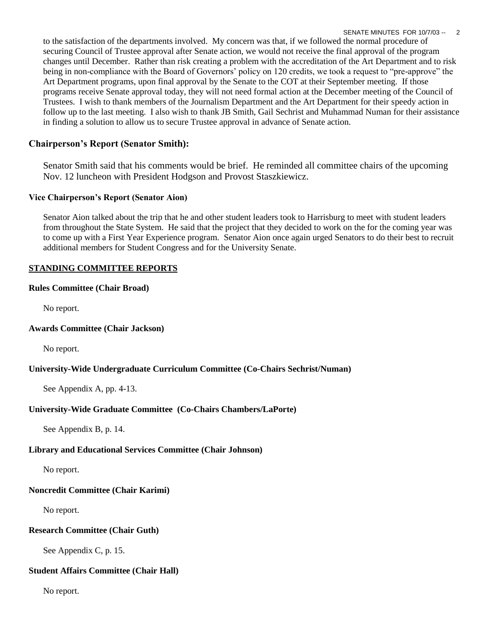to the satisfaction of the departments involved. My concern was that, if we followed the normal procedure of securing Council of Trustee approval after Senate action, we would not receive the final approval of the program changes until December. Rather than risk creating a problem with the accreditation of the Art Department and to risk being in non-compliance with the Board of Governors" policy on 120 credits, we took a request to "pre-approve" the Art Department programs, upon final approval by the Senate to the COT at their September meeting. If those programs receive Senate approval today, they will not need formal action at the December meeting of the Council of Trustees. I wish to thank members of the Journalism Department and the Art Department for their speedy action in follow up to the last meeting. I also wish to thank JB Smith, Gail Sechrist and Muhammad Numan for their assistance in finding a solution to allow us to secure Trustee approval in advance of Senate action.

# **Chairperson's Report (Senator Smith):**

Senator Smith said that his comments would be brief. He reminded all committee chairs of the upcoming Nov. 12 luncheon with President Hodgson and Provost Staszkiewicz.

## **Vice Chairperson's Report (Senator Aion)**

Senator Aion talked about the trip that he and other student leaders took to Harrisburg to meet with student leaders from throughout the State System. He said that the project that they decided to work on the for the coming year was to come up with a First Year Experience program. Senator Aion once again urged Senators to do their best to recruit additional members for Student Congress and for the University Senate.

## **STANDING COMMITTEE REPORTS**

## **Rules Committee (Chair Broad)**

No report.

## **Awards Committee (Chair Jackson)**

No report.

## **University-Wide Undergraduate Curriculum Committee (Co-Chairs Sechrist/Numan)**

See Appendix A, pp. 4-13.

# **University-Wide Graduate Committee (Co-Chairs Chambers/LaPorte)**

See Appendix B, p. 14.

# **Library and Educational Services Committee (Chair Johnson)**

No report.

# **Noncredit Committee (Chair Karimi)**

No report.

# **Research Committee (Chair Guth)**

See Appendix C, p. 15.

# **Student Affairs Committee (Chair Hall)**

No report.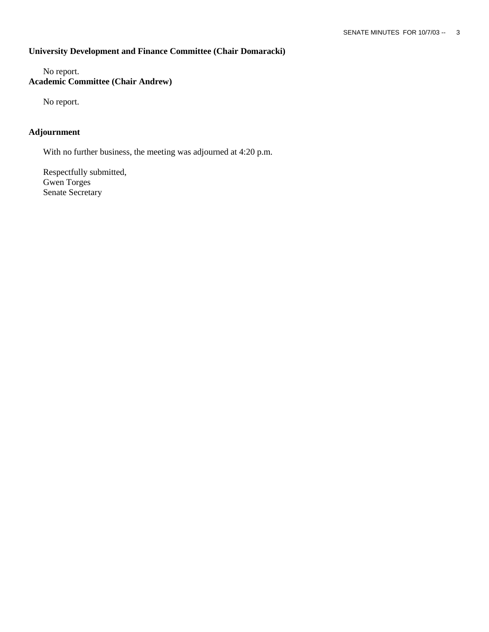# **University Development and Finance Committee (Chair Domaracki)**

No report. **Academic Committee (Chair Andrew)**

No report.

# **Adjournment**

With no further business, the meeting was adjourned at 4:20 p.m.

Respectfully submitted, Gwen Torges Senate Secretary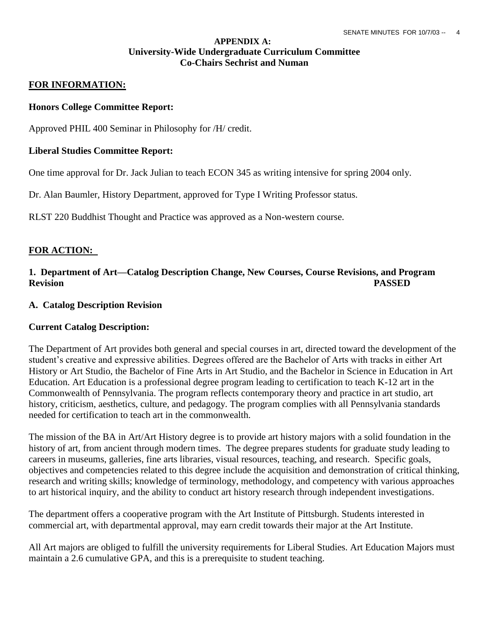## **APPENDIX A: University-Wide Undergraduate Curriculum Committee Co-Chairs Sechrist and Numan**

## **FOR INFORMATION:**

## **Honors College Committee Report:**

Approved PHIL 400 Seminar in Philosophy for /H/ credit.

## **Liberal Studies Committee Report:**

One time approval for Dr. Jack Julian to teach ECON 345 as writing intensive for spring 2004 only.

Dr. Alan Baumler, History Department, approved for Type I Writing Professor status.

RLST 220 Buddhist Thought and Practice was approved as a Non-western course.

## **FOR ACTION:**

# **1. Department of Art—Catalog Description Change, New Courses, Course Revisions, and Program Revision PASSED**

## **A. Catalog Description Revision**

## **Current Catalog Description:**

The Department of Art provides both general and special courses in art, directed toward the development of the student"s creative and expressive abilities. Degrees offered are the Bachelor of Arts with tracks in either Art History or Art Studio, the Bachelor of Fine Arts in Art Studio, and the Bachelor in Science in Education in Art Education. Art Education is a professional degree program leading to certification to teach K-12 art in the Commonwealth of Pennsylvania. The program reflects contemporary theory and practice in art studio, art history, criticism, aesthetics, culture, and pedagogy. The program complies with all Pennsylvania standards needed for certification to teach art in the commonwealth.

The mission of the BA in Art/Art History degree is to provide art history majors with a solid foundation in the history of art, from ancient through modern times. The degree prepares students for graduate study leading to careers in museums, galleries, fine arts libraries, visual resources, teaching, and research. Specific goals, objectives and competencies related to this degree include the acquisition and demonstration of critical thinking, research and writing skills; knowledge of terminology, methodology, and competency with various approaches to art historical inquiry, and the ability to conduct art history research through independent investigations.

The department offers a cooperative program with the Art Institute of Pittsburgh. Students interested in commercial art, with departmental approval, may earn credit towards their major at the Art Institute.

All Art majors are obliged to fulfill the university requirements for Liberal Studies. Art Education Majors must maintain a 2.6 cumulative GPA, and this is a prerequisite to student teaching.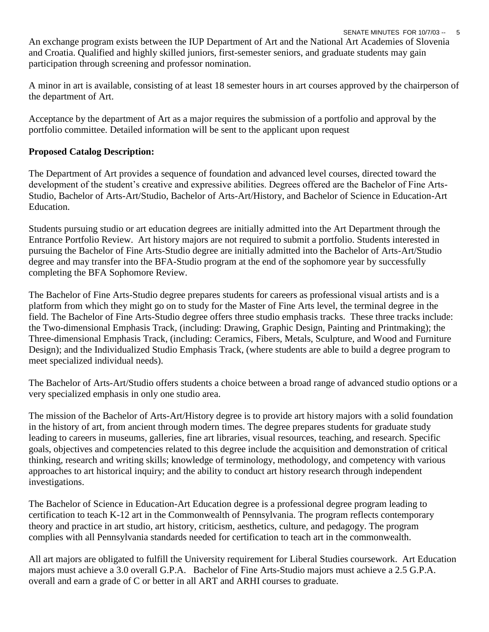SENATE MINUTES FOR 10/7/03 -- 5 An exchange program exists between the IUP Department of Art and the National Art Academies of Slovenia and Croatia. Qualified and highly skilled juniors, first-semester seniors, and graduate students may gain participation through screening and professor nomination.

A minor in art is available, consisting of at least 18 semester hours in art courses approved by the chairperson of the department of Art.

Acceptance by the department of Art as a major requires the submission of a portfolio and approval by the portfolio committee. Detailed information will be sent to the applicant upon request

# **Proposed Catalog Description:**

The Department of Art provides a sequence of foundation and advanced level courses, directed toward the development of the student's creative and expressive abilities. Degrees offered are the Bachelor of Fine Arts-Studio, Bachelor of Arts-Art/Studio, Bachelor of Arts-Art/History, and Bachelor of Science in Education-Art Education.

Students pursuing studio or art education degrees are initially admitted into the Art Department through the Entrance Portfolio Review. Art history majors are not required to submit a portfolio. Students interested in pursuing the Bachelor of Fine Arts-Studio degree are initially admitted into the Bachelor of Arts-Art/Studio degree and may transfer into the BFA-Studio program at the end of the sophomore year by successfully completing the BFA Sophomore Review.

The Bachelor of Fine Arts-Studio degree prepares students for careers as professional visual artists and is a platform from which they might go on to study for the Master of Fine Arts level, the terminal degree in the field. The Bachelor of Fine Arts-Studio degree offers three studio emphasis tracks. These three tracks include: the Two-dimensional Emphasis Track, (including: Drawing, Graphic Design, Painting and Printmaking); the Three-dimensional Emphasis Track, (including: Ceramics, Fibers, Metals, Sculpture, and Wood and Furniture Design); and the Individualized Studio Emphasis Track, (where students are able to build a degree program to meet specialized individual needs).

The Bachelor of Arts-Art/Studio offers students a choice between a broad range of advanced studio options or a very specialized emphasis in only one studio area.

The mission of the Bachelor of Arts-Art/History degree is to provide art history majors with a solid foundation in the history of art, from ancient through modern times. The degree prepares students for graduate study leading to careers in museums, galleries, fine art libraries, visual resources, teaching, and research. Specific goals, objectives and competencies related to this degree include the acquisition and demonstration of critical thinking, research and writing skills; knowledge of terminology, methodology, and competency with various approaches to art historical inquiry; and the ability to conduct art history research through independent investigations.

The Bachelor of Science in Education-Art Education degree is a professional degree program leading to certification to teach K-12 art in the Commonwealth of Pennsylvania. The program reflects contemporary theory and practice in art studio, art history, criticism, aesthetics, culture, and pedagogy. The program complies with all Pennsylvania standards needed for certification to teach art in the commonwealth.

All art majors are obligated to fulfill the University requirement for Liberal Studies coursework. Art Education majors must achieve a 3.0 overall G.P.A. Bachelor of Fine Arts-Studio majors must achieve a 2.5 G.P.A. overall and earn a grade of C or better in all ART and ARHI courses to graduate.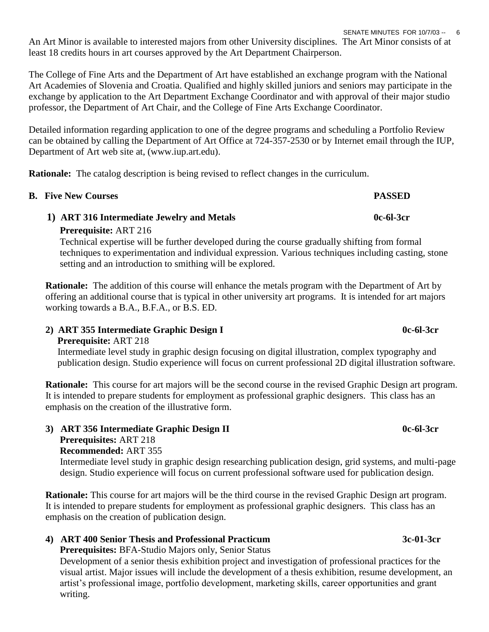An Art Minor is available to interested majors from other University disciplines. The Art Minor consists of at least 18 credits hours in art courses approved by the Art Department Chairperson.

The College of Fine Arts and the Department of Art have established an exchange program with the National Art Academies of Slovenia and Croatia. Qualified and highly skilled juniors and seniors may participate in the exchange by application to the Art Department Exchange Coordinator and with approval of their major studio professor, the Department of Art Chair, and the College of Fine Arts Exchange Coordinator.

Detailed information regarding application to one of the degree programs and scheduling a Portfolio Review can be obtained by calling the Department of Art Office at 724-357-2530 or by Internet email through the IUP, Department of Art web site at, (www.iup.art.edu).

**Rationale:** The catalog description is being revised to reflect changes in the curriculum.

| <b>B.</b> Five New Courses                                                                                                                                                                                                                                                                          | <b>PASSED</b> |
|-----------------------------------------------------------------------------------------------------------------------------------------------------------------------------------------------------------------------------------------------------------------------------------------------------|---------------|
| 1) ART 316 Intermediate Jewelry and Metals                                                                                                                                                                                                                                                          | 0c-61-3cr     |
| <b>Prerequisite: ART 216</b><br>Technical expertise will be further developed during the course gradually shifting from formal<br>techniques to experimentation and individual expression. Various techniques including casting, stone<br>setting and an introduction to smithing will be explored. |               |

 **Rationale:** The addition of this course will enhance the metals program with the Department of Art by offering an additional course that is typical in other university art programs. It is intended for art majors working towards a B.A., B.F.A., or B.S. ED.

# **2) ART 355 Intermediate Graphic Design I 0c-6l-3cr**

 **Prerequisite:** ART 218 Intermediate level study in graphic design focusing on digital illustration, complex typography and publication design. Studio experience will focus on current professional 2D digital illustration software.

 **Rationale:** This course for art majors will be the second course in the revised Graphic Design art program. It is intended to prepare students for employment as professional graphic designers. This class has an emphasis on the creation of the illustrative form.

 **3) ART 356 Intermediate Graphic Design II 0c-6l-3cr Prerequisites:** ART 218  **Recommended:** ART 355 Intermediate level study in graphic design researching publication design, grid systems, and multi-page design. Studio experience will focus on current professional software used for publication design.

 **Rationale:** This course for art majors will be the third course in the revised Graphic Design art program. It is intended to prepare students for employment as professional graphic designers. This class has an emphasis on the creation of publication design.

# **4) ART 400 Senior Thesis and Professional Practicum 3c-01-3cr**

 **Prerequisites:** BFA-Studio Majors only, Senior Status

 Development of a senior thesis exhibition project and investigation of professional practices for the visual artist. Major issues will include the development of a thesis exhibition, resume development, an artist"s professional image, portfolio development, marketing skills, career opportunities and grant writing.

# SENATE MINUTES FOR 10/7/03 -- 6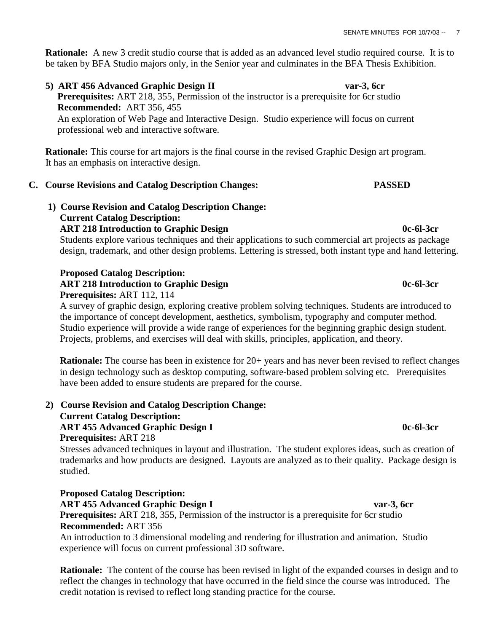**Rationale:** A new 3 credit studio course that is added as an advanced level studio required course. It is to be taken by BFA Studio majors only, in the Senior year and culminates in the BFA Thesis Exhibition.

 **5) ART 456 Advanced Graphic Design II var-3, 6cr Prerequisites:** ART 218, 355, Permission of the instructor is a prerequisite for 6cr studio  **Recommended:** ART 356, 455 An exploration of Web Page and Interactive Design. Studio experience will focus on current professional web and interactive software.

 **Rationale:** This course for art majors is the final course in the revised Graphic Design art program. It has an emphasis on interactive design.

# **C. Course Revisions and Catalog Description Changes: PASSED**

 **1) Course Revision and Catalog Description Change: Current Catalog Description: ART 218 Introduction to Graphic Design 0c-6l-3cr**

Students explore various techniques and their applications to such commercial art projects as package design, trademark, and other design problems. Lettering is stressed, both instant type and hand lettering.

# **Proposed Catalog Description: ART 218 Introduction to Graphic Design 0c-6l-3cr**

# **Prerequisites:** ART 112, 114

 A survey of graphic design, exploring creative problem solving techniques. Students are introduced to the importance of concept development, aesthetics, symbolism, typography and computer method. Studio experience will provide a wide range of experiences for the beginning graphic design student. Projects, problems, and exercises will deal with skills, principles, application, and theory.

**Rationale:** The course has been in existence for 20+ years and has never been revised to reflect changes in design technology such as desktop computing, software-based problem solving etc. Prerequisites have been added to ensure students are prepared for the course.

 **2) Course Revision and Catalog Description Change: Current Catalog Description: ART 455 Advanced Graphic Design I 0c-6l-3cr Prerequisites:** ART 218

Stresses advanced techniques in layout and illustration. The student explores ideas, such as creation of trademarks and how products are designed. Layouts are analyzed as to their quality. Package design is studied.

# **Proposed Catalog Description:**

 **ART 455 Advanced Graphic Design I var-3, 6cr**

 **Prerequisites:** ART 218, 355, Permission of the instructor is a prerequisite for 6cr studio  **Recommended:** ART 356

 An introduction to 3 dimensional modeling and rendering for illustration and animation. Studio experience will focus on current professional 3D software.

**Rationale:** The content of the course has been revised in light of the expanded courses in design and to reflect the changes in technology that have occurred in the field since the course was introduced. The credit notation is revised to reflect long standing practice for the course.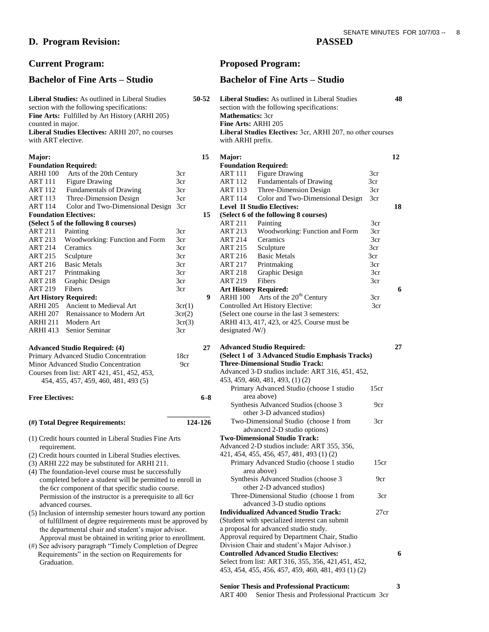## **D. Program Revision: PASSED**

### **Major: Foundation Required:** ARHI 100 Arts of the 20th Century 3cr ART 111 Figure Drawing 3cr ART 112 Fundamentals of Drawing 3cr ART 113 Three-Dimension Design 3cr ART 114 Color and Two-Dimensional Design 3cr **Foundation Electives: (Select 5 of the following 8 courses)** ART 211 Painting 3cr ART 213 Woodworking: Function and Form 3cr ART 214 Ceramics 3cr ART 215 Sculpture 3cr<br>ART 216 Basic Metals 3cr ART 216 Basic Metals 3cr<br>
ART 217 Printmaking 3cr Printmaking ART 218 Graphic Design 3cr ART 219 Fibers 3cr **Art History Required:** ARHI 205 Ancient to Medieval Art  $3cr(1)$ ARHI 207 Renaissance to Modern Art  $3cr(2)$  $ARHI 211$  Modern Art  $3cr(3)$ ARHI 413 Senior Seminar 3cr **Advanced Studio Required: (4)**

| Primary Advanced Studio Concentration      | 18cr            |  |
|--------------------------------------------|-----------------|--|
| Minor Advanced Studio Concentration        | 9 <sub>cr</sub> |  |
| Courses from list: ART 421, 451, 452, 453. |                 |  |
| 454, 455, 457, 459, 460, 481, 493 (5)      |                 |  |

### **Free Electives:**

### **(#) Total Degree Requirements: 124-126**

- (1) Credit hours counted in Liberal Studies Fine Arts requirement.
- (2) Credit hours counted in Liberal Studies electives.
- (3) ARHI 222 may be substituted for ARHI 211.
- (4) The foundation-level course must be successfully completed before a student will be permitted to enroll in the 6cr component of that specific studio course. Permission of the instructor is a prerequisite to all 6cr advanced courses.
- $(5)$  Inclusion of internship semester hours toward any portion of fulfillment of degree requirements must be approved the departmental chair and student's major advisor. Approval must be obtained in writing prior to enrollmen
- (#) See advisory paragraph "Timely Completion of Degree Requirements" in the section on Requirements for Graduation.

# **Current Program: Proposed Program:**

## **Bachelor of Fine Arts – Studio Bachelor of Fine Arts – Studio**

| Liberal Studies: As outlined in Liberal Studies<br>section with the following specifications:<br>Fine Arts: Fulfilled by Art History (ARHI 205)<br>counted in major.<br>Liberal Studies Electives: ARHI 207, no courses<br>with ART elective. |                 | 50-52   | Liberal Studies: As outlined in Liberal Studies<br>section with the following specifications:<br><b>Mathematics: 3cr</b><br>Fine Arts: ARHI 205<br>Liberal Studies Electives: 3cr, ARHI 207, no other courses<br>with ARHI prefix. |      | 48 |
|-----------------------------------------------------------------------------------------------------------------------------------------------------------------------------------------------------------------------------------------------|-----------------|---------|------------------------------------------------------------------------------------------------------------------------------------------------------------------------------------------------------------------------------------|------|----|
| Major:                                                                                                                                                                                                                                        |                 | 15      | Major:                                                                                                                                                                                                                             |      | 12 |
| <b>Foundation Required:</b>                                                                                                                                                                                                                   |                 |         | <b>Foundation Required:</b>                                                                                                                                                                                                        |      |    |
| Arts of the 20th Century<br>ARHI 100                                                                                                                                                                                                          | 3cr             |         | <b>Figure Drawing</b><br><b>ART 111</b>                                                                                                                                                                                            | 3cr  |    |
| ART 111<br><b>Figure Drawing</b>                                                                                                                                                                                                              | 3cr             |         | ART 112<br>Fundamentals of Drawing                                                                                                                                                                                                 | 3cr  |    |
| <b>ART 112</b><br>Fundamentals of Drawing                                                                                                                                                                                                     | 3cr             |         | Three-Dimension Design<br>ART 113                                                                                                                                                                                                  | 3cr  |    |
| <b>ART 113</b><br>Three-Dimension Design                                                                                                                                                                                                      | 3cr             |         | <b>ART 114</b><br>Color and Two-Dimensional Design                                                                                                                                                                                 | 3cr  |    |
| Color and Two-Dimensional Design 3cr<br>ART 114                                                                                                                                                                                               |                 |         | <b>Level II Studio Electives:</b>                                                                                                                                                                                                  |      | 18 |
| <b>Foundation Electives:</b>                                                                                                                                                                                                                  |                 | 15      | (Select 6 of the following 8 courses)                                                                                                                                                                                              |      |    |
| (Select 5 of the following 8 courses)                                                                                                                                                                                                         |                 |         | <b>ART 211</b><br>Painting                                                                                                                                                                                                         | 3cr  |    |
| <b>ART 211</b><br>Painting                                                                                                                                                                                                                    | 3cr             |         | <b>ART 213</b><br>Woodworking: Function and Form                                                                                                                                                                                   | 3cr  |    |
| Woodworking: Function and Form<br>ART 213                                                                                                                                                                                                     | 3cr             |         | Ceramics<br>ART 214                                                                                                                                                                                                                | 3cr  |    |
| <b>ART 214</b><br>Ceramics                                                                                                                                                                                                                    | 3cr             |         | Sculpture<br>ART 215                                                                                                                                                                                                               | 3cr  |    |
| <b>ART 215</b><br>Sculpture                                                                                                                                                                                                                   | 3cr             |         | <b>Basic Metals</b><br>ART 216                                                                                                                                                                                                     | 3cr  |    |
| <b>Basic Metals</b><br><b>ART 216</b>                                                                                                                                                                                                         | 3cr             |         | <b>ART 217</b><br>Printmaking                                                                                                                                                                                                      | 3cr  |    |
| <b>ART 217</b><br>Printmaking                                                                                                                                                                                                                 | 3cr             |         | <b>ART 218</b><br>Graphic Design                                                                                                                                                                                                   | 3cr  |    |
| <b>ART 218</b><br>Graphic Design                                                                                                                                                                                                              | 3cr             |         | Fibers<br><b>ART 219</b>                                                                                                                                                                                                           | 3cr  |    |
| <b>ART 219</b><br>Fibers                                                                                                                                                                                                                      | 3cr             |         | <b>Art History Required:</b>                                                                                                                                                                                                       |      | 6  |
| <b>Art History Required:</b>                                                                                                                                                                                                                  |                 | 9       | Arts of the 20 <sup>th</sup> Century<br><b>ARHI</b> 100                                                                                                                                                                            | 3cr  |    |
| Ancient to Medieval Art<br>ARHI 205                                                                                                                                                                                                           | 3cr(1)          |         | Controlled Art History Elective:                                                                                                                                                                                                   | 3cr  |    |
| ARHI 207<br>Renaissance to Modern Art                                                                                                                                                                                                         | 3cr(2)          |         | (Select one course in the last 3 semesters:                                                                                                                                                                                        |      |    |
| <b>ARHI 211</b><br>Modern Art                                                                                                                                                                                                                 | 3cr(3)          |         | ARHI 413, 417, 423, or 425. Course must be                                                                                                                                                                                         |      |    |
| Senior Seminar<br>ARHI 413                                                                                                                                                                                                                    | 3cr             |         | designated /W/)                                                                                                                                                                                                                    |      |    |
| <b>Advanced Studio Required: (4)</b>                                                                                                                                                                                                          |                 | 27      | <b>Advanced Studio Required:</b>                                                                                                                                                                                                   |      | 27 |
| Primary Advanced Studio Concentration                                                                                                                                                                                                         | 18cr            |         | (Select 1 of 3 Advanced Studio Emphasis Tracks)                                                                                                                                                                                    |      |    |
| Minor Advanced Studio Concentration                                                                                                                                                                                                           | 9 <sub>cr</sub> |         | <b>Three-Dimensional Studio Track:</b>                                                                                                                                                                                             |      |    |
| Courses from list: ART 421, 451, 452, 453,                                                                                                                                                                                                    |                 |         | Advanced 3-D studios include: ART 316, 451, 452,                                                                                                                                                                                   |      |    |
| 454, 455, 457, 459, 460, 481, 493 (5)                                                                                                                                                                                                         |                 |         | 453, 459, 460, 481, 493, (1) (2)                                                                                                                                                                                                   |      |    |
|                                                                                                                                                                                                                                               |                 |         | Primary Advanced Studio (choose 1 studio                                                                                                                                                                                           | 15cr |    |
| <b>Free Electives:</b>                                                                                                                                                                                                                        |                 | $6 - 8$ | area above)                                                                                                                                                                                                                        |      |    |
|                                                                                                                                                                                                                                               |                 |         | Synthesis Advanced Studios (choose 3<br>other 3-D advanced studios)                                                                                                                                                                | 9cr  |    |
| (#) Total Degree Requirements:                                                                                                                                                                                                                |                 | 124-126 | Two-Dimensional Studio (choose 1 from<br>advanced 2-D studio options)                                                                                                                                                              | 3cr  |    |
| (1) Credit hours counted in Liberal Studies Fine Arts                                                                                                                                                                                         |                 |         | <b>Two-Dimensional Studio Track:</b>                                                                                                                                                                                               |      |    |
| requirement.                                                                                                                                                                                                                                  |                 |         | Advanced 2-D studios include: ART 355, 356,                                                                                                                                                                                        |      |    |
| (2) Credit hours counted in Liberal Studies electives.                                                                                                                                                                                        |                 |         | 421, 454, 455, 456, 457, 481, 493 (1) (2)                                                                                                                                                                                          |      |    |
| (3) ARHI 222 may be substituted for ARHI 211.                                                                                                                                                                                                 |                 |         | Primary Advanced Studio (choose 1 studio                                                                                                                                                                                           | 15cr |    |
| (4) The foundation-level course must be successfully                                                                                                                                                                                          |                 |         | area above)                                                                                                                                                                                                                        |      |    |
| completed before a student will be permitted to enroll in                                                                                                                                                                                     |                 |         | Synthesis Advanced Studios (choose 3                                                                                                                                                                                               | 9cr  |    |
| the 6cr component of that specific studio course.                                                                                                                                                                                             |                 |         | other 2-D advanced studios)                                                                                                                                                                                                        |      |    |
| Permission of the instructor is a prerequisite to all 6cr                                                                                                                                                                                     |                 |         | Three-Dimensional Studio (choose 1 from                                                                                                                                                                                            | 3cr  |    |
| advanced courses.                                                                                                                                                                                                                             |                 |         | advanced 3-D studio options                                                                                                                                                                                                        |      |    |
| (5) Inclusion of internship semester hours toward any portion                                                                                                                                                                                 |                 |         | <b>Individualized Advanced Studio Track:</b>                                                                                                                                                                                       | 27cr |    |
| of fulfillment of degree requirements must be approved by                                                                                                                                                                                     |                 |         | (Student with specialized interest can submit                                                                                                                                                                                      |      |    |
| the departmental chair and student's major advisor.                                                                                                                                                                                           |                 |         | a proposal for advanced studio study.                                                                                                                                                                                              |      |    |
| Approval must be obtained in writing prior to enrollment.                                                                                                                                                                                     |                 |         | Approval required by Department Chair, Studio                                                                                                                                                                                      |      |    |
| (#) See advisory paragraph "Timely Completion of Degree                                                                                                                                                                                       |                 |         | Division Chair and student's Major Advisor.)                                                                                                                                                                                       |      |    |
| Requirements" in the section on Requirements for                                                                                                                                                                                              |                 |         | <b>Controlled Advanced Studio Electives:</b>                                                                                                                                                                                       |      | 6  |
| Graduation.                                                                                                                                                                                                                                   |                 |         | Select from list: ART 316, 355, 356, 421, 451, 452,                                                                                                                                                                                |      |    |
|                                                                                                                                                                                                                                               |                 |         | 453, 454, 455, 456, 457, 459, 460, 481, 493 (1) (2)                                                                                                                                                                                |      |    |
|                                                                                                                                                                                                                                               |                 |         |                                                                                                                                                                                                                                    |      |    |

# **Senior Thesis and Professional Practicum: 3**

ART 400Senior Thesis and Professional Practicum3cr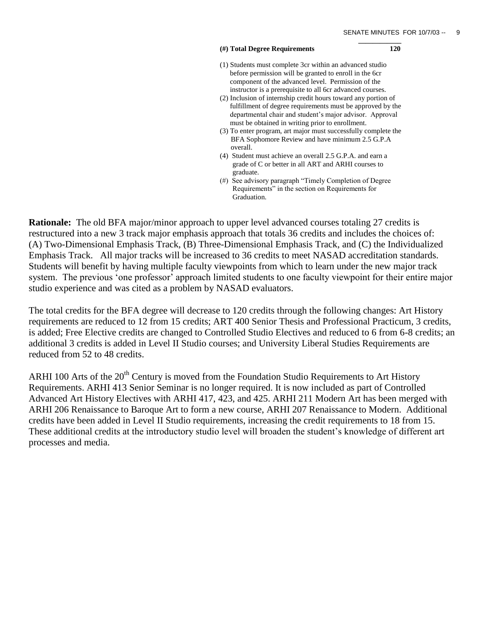### **(#) Total Degree Requirements 120**

(1) Students must complete 3cr within an advanced studio before permission will be granted to enroll in the 6cr component of the advanced level. Permission of the instructor is a prerequisite to all 6cr advanced courses.

 **\_\_\_\_\_\_\_\_\_\_\_\_**

- (2) Inclusion of internship credit hours toward any portion of fulfillment of degree requirements must be approved by the departmental chair and student"s major advisor. Approval must be obtained in writing prior to enrollment.
- (3) To enter program, art major must successfully complete the BFA Sophomore Review and have minimum 2.5 G.P.A overall.
- (4) Student must achieve an overall 2.5 G.P.A. and earn a grade of C or better in all ART and ARHI courses to graduate.
- (#) See advisory paragraph "Timely Completion of Degree Requirements" in the section on Requirements for Graduation.

**Rationale:** The old BFA major/minor approach to upper level advanced courses totaling 27 credits is restructured into a new 3 track major emphasis approach that totals 36 credits and includes the choices of: (A) Two-Dimensional Emphasis Track, (B) Three-Dimensional Emphasis Track, and (C) the Individualized Emphasis Track. All major tracks will be increased to 36 credits to meet NASAD accreditation standards. Students will benefit by having multiple faculty viewpoints from which to learn under the new major track system. The previous 'one professor' approach limited students to one faculty viewpoint for their entire major studio experience and was cited as a problem by NASAD evaluators.

The total credits for the BFA degree will decrease to 120 credits through the following changes: Art History requirements are reduced to 12 from 15 credits; ART 400 Senior Thesis and Professional Practicum, 3 credits, is added; Free Elective credits are changed to Controlled Studio Electives and reduced to 6 from 6-8 credits; an additional 3 credits is added in Level II Studio courses; and University Liberal Studies Requirements are reduced from 52 to 48 credits.

ARHI 100 Arts of the  $20<sup>th</sup>$  Century is moved from the Foundation Studio Requirements to Art History Requirements. ARHI 413 Senior Seminar is no longer required. It is now included as part of Controlled Advanced Art History Electives with ARHI 417, 423, and 425. ARHI 211 Modern Art has been merged with ARHI 206 Renaissance to Baroque Art to form a new course, ARHI 207 Renaissance to Modern. Additional credits have been added in Level II Studio requirements, increasing the credit requirements to 18 from 15. These additional credits at the introductory studio level will broaden the student"s knowledge of different art processes and media.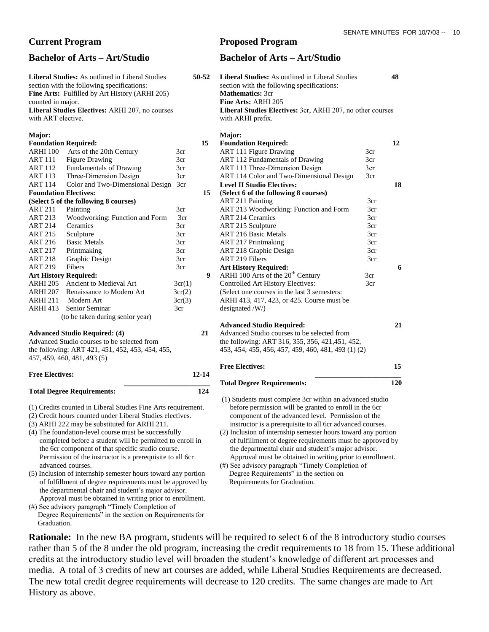**Liberal Studies:** As outlined in Liberal Studies **50-52** section with the following specifications: **Fine Arts:** Fulfilled by Art History (ARHI 205) counted in major. **Liberal Studies Electives:** ARHI 207, no courses with ART elective. **Major: Foundation Required: 15**  ARHI 100 Arts of the 20th Century 3cr ART 111 Figure Drawing 3cr ART 112 Fundamentals of Drawing 3cr ART 113 Three-Dimension Design 3cr

ART 114 Color and Two-Dimensional Design 3cr **Foundation Electives:** 15

### **(Select 5 of the following 8 courses)**

|                              | $\beta$ correct $\beta$ of the following $\sigma$ courses. |        |  |
|------------------------------|------------------------------------------------------------|--------|--|
| <b>ART 211</b>               | Painting                                                   | 3cr    |  |
| <b>ART 213</b>               | Woodworking: Function and Form                             | 3cr    |  |
| <b>ART 214</b>               | Ceramics                                                   | 3cr    |  |
| <b>ART 215</b>               | Sculpture                                                  | 3cr    |  |
| <b>ART 216</b>               | <b>Basic Metals</b>                                        | 3cr    |  |
| <b>ART 217</b>               | Printmaking                                                | 3cr    |  |
| <b>ART 218</b>               | Graphic Design                                             | 3cr    |  |
| <b>ART 219</b>               | Fibers                                                     | 3cr    |  |
| <b>Art History Required:</b> |                                                            | 9      |  |
| <b>ARHI 205</b>              | Ancient to Medieval Art                                    | 3cr(1) |  |
| <b>ARHI 207</b>              | Renaissance to Modern Art                                  | 3cr(2) |  |
| <b>ARHI 211</b>              | Modern Art                                                 | 3cr(3) |  |
| <b>ARHI 413</b>              | Senior Seminar                                             | 3cr    |  |
|                              | (to be taken during senior year)                           |        |  |
|                              |                                                            |        |  |

### **Advanced Studio Required: (4) 21**

Advanced Studio courses to be selected from the following: ART 421, 451, 452, 453, 454, 455, 457, 459, 460, 481, 493 (5)

### **Free Electives: 12-14 \_\_\_\_\_\_\_\_\_\_\_\_\_\_\_\_\_\_\_\_\_\_\_\_**

### **Total Degree Requirements: 124**

- (1) Credits counted in Liberal Studies Fine Arts requirement.
- (2) Credit hours counted under Liberal Studies electives.
- (3) ARHI 222 may be substituted for ARHI 211.
- (4) The foundation-level course must be successfully completed before a student will be permitted to enroll in the 6cr component of that specific studio course. Permission of the instructor is a prerequisite to all 6cr advanced courses.
- (5) Inclusion of internship semester hours toward any portion of fulfillment of degree requirements must be approved by the departmental chair and student"s major advisor. Approval must be obtained in writing prior to enrollment.
- (#) See advisory paragraph "Timely Completion of Degree Requirements" in the section on Requirements for Graduation.

## **Current Program Proposed Program**

## **Bachelor of Arts – Art/Studio Bachelor of Arts – Art/Studio**

|              | <b>Liberal Studies:</b> As outlined in Liberal Studies<br>section with the following specifications:<br><b>Mathematics: 3cr</b><br>Fine Arts: ARHI 205<br>Liberal Studies Electives: 3cr, ARHI 207, no other courses<br>with ARHI prefix.                                                                                                                           |                 | 48  |  |
|--------------|---------------------------------------------------------------------------------------------------------------------------------------------------------------------------------------------------------------------------------------------------------------------------------------------------------------------------------------------------------------------|-----------------|-----|--|
|              | Major:                                                                                                                                                                                                                                                                                                                                                              |                 |     |  |
|              | <b>Foundation Required:</b>                                                                                                                                                                                                                                                                                                                                         |                 | 12  |  |
|              | <b>ART 111 Figure Drawing</b>                                                                                                                                                                                                                                                                                                                                       | 3cr             |     |  |
|              | ART 112 Fundamentals of Drawing                                                                                                                                                                                                                                                                                                                                     | 3cr             |     |  |
|              | ART 113 Three-Dimension Design                                                                                                                                                                                                                                                                                                                                      | 3 <sub>cr</sub> |     |  |
|              | ART 114 Color and Two-Dimensional Design                                                                                                                                                                                                                                                                                                                            | 3cr             |     |  |
|              | <b>Level II Studio Electives:</b>                                                                                                                                                                                                                                                                                                                                   |                 | 18  |  |
|              | (Select 6 of the following 8 courses)                                                                                                                                                                                                                                                                                                                               |                 |     |  |
|              | <b>ART 211 Painting</b>                                                                                                                                                                                                                                                                                                                                             | 3cr             |     |  |
|              | ART 213 Woodworking: Function and Form                                                                                                                                                                                                                                                                                                                              | 3cr             |     |  |
|              | <b>ART 214 Ceramics</b>                                                                                                                                                                                                                                                                                                                                             | 3cr             |     |  |
|              | ART 215 Sculpture                                                                                                                                                                                                                                                                                                                                                   | 3cr             |     |  |
|              | <b>ART 216 Basic Metals</b>                                                                                                                                                                                                                                                                                                                                         | 3cr             |     |  |
|              | <b>ART 217 Printmaking</b>                                                                                                                                                                                                                                                                                                                                          | 3cr             |     |  |
|              | <b>ART 218 Graphic Design</b>                                                                                                                                                                                                                                                                                                                                       | 3cr             |     |  |
|              | <b>ART 219 Fibers</b>                                                                                                                                                                                                                                                                                                                                               | 3cr             |     |  |
|              | <b>Art History Required:</b>                                                                                                                                                                                                                                                                                                                                        |                 | 6   |  |
| $\mathbf{I}$ | ARHI 100 Arts of the 20 <sup>th</sup> Century                                                                                                                                                                                                                                                                                                                       | 3cr             |     |  |
|              | <b>Controlled Art History Electives:</b>                                                                                                                                                                                                                                                                                                                            | 3cr             |     |  |
|              | (Select one courses in the last 3 semesters:                                                                                                                                                                                                                                                                                                                        |                 |     |  |
|              | ARHI 413, 417, 423, or 425. Course must be                                                                                                                                                                                                                                                                                                                          |                 |     |  |
|              | designated /W/)                                                                                                                                                                                                                                                                                                                                                     |                 |     |  |
|              |                                                                                                                                                                                                                                                                                                                                                                     |                 |     |  |
|              | <b>Advanced Studio Required:</b>                                                                                                                                                                                                                                                                                                                                    |                 | 21  |  |
|              | Advanced Studio courses to be selected from                                                                                                                                                                                                                                                                                                                         |                 |     |  |
|              | the following: ART 316, 355, 356, 421, 451, 452,                                                                                                                                                                                                                                                                                                                    |                 |     |  |
|              | 453, 454, 455, 456, 457, 459, 460, 481, 493 (1) (2)                                                                                                                                                                                                                                                                                                                 |                 |     |  |
|              |                                                                                                                                                                                                                                                                                                                                                                     |                 |     |  |
|              | <b>Free Electives:</b>                                                                                                                                                                                                                                                                                                                                              |                 | 15  |  |
|              | <b>Total Degree Requirements:</b>                                                                                                                                                                                                                                                                                                                                   |                 | 120 |  |
|              | (1) Students must complete 3cr within an advanced studio<br>before permission will be granted to enroll in the 6cr<br>component of the advanced level. Permission of the<br>instructor is a prerequisite to all 6cr advanced courses.<br>(2) Inclusion of internship semester hours toward any portion<br>of fulfillment of degree requirements must be approved by |                 |     |  |

the departmental chair and student's major advisor. Approval must be obtained in writing prior to enrollment. (#) See advisory paragraph "Timely Completion of

 Degree Requirements" in the section on Requirements for Graduation.

**Rationale:** In the new BA program, students will be required to select 6 of the 8 introductory studio courses rather than 5 of the 8 under the old program, increasing the credit requirements to 18 from 15. These additional credits at the introductory studio level will broaden the student"s knowledge of different art processes and media. A total of 3 credits of new art courses are added, while Liberal Studies Requirements are decreased. The new total credit degree requirements will decrease to 120 credits. The same changes are made to Art History as above.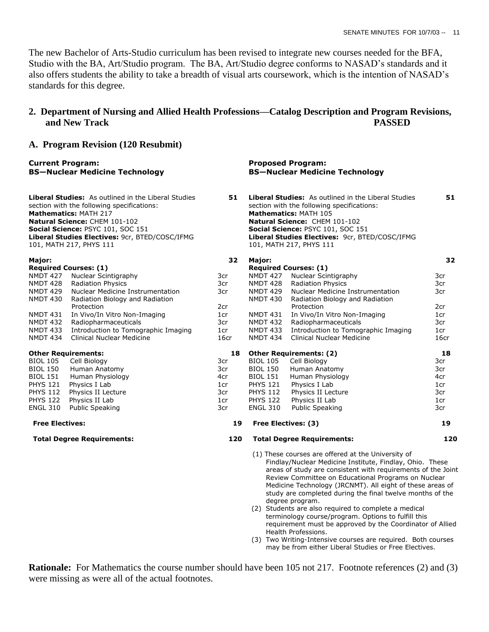The new Bachelor of Arts-Studio curriculum has been revised to integrate new courses needed for the BFA, Studio with the BA, Art/Studio program. The BA, Art/Studio degree conforms to NASAD"s standards and it also offers students the ability to take a breadth of visual arts coursework, which is the intention of NASAD"s standards for this degree.

# **2. Department of Nursing and Allied Health Professions—Catalog Description and Program Revisions, and New Track PASSED**

## **A. Program Revision (120 Resubmit)**

| <b>Current Program:</b> | <b>BS-Nuclear Medicine Technology</b>                                                                                                                                                                                                                                                       |      |                                                                                                                                                                                                                                                                                             | <b>Proposed Program:</b><br><b>BS-Nuclear Medicine Technology</b>                                                                                                                                                                                                                                                                                                                                                                                                                                                                                                                     |      |
|-------------------------|---------------------------------------------------------------------------------------------------------------------------------------------------------------------------------------------------------------------------------------------------------------------------------------------|------|---------------------------------------------------------------------------------------------------------------------------------------------------------------------------------------------------------------------------------------------------------------------------------------------|---------------------------------------------------------------------------------------------------------------------------------------------------------------------------------------------------------------------------------------------------------------------------------------------------------------------------------------------------------------------------------------------------------------------------------------------------------------------------------------------------------------------------------------------------------------------------------------|------|
|                         | <b>Liberal Studies:</b> As outlined in the Liberal Studies<br>section with the following specifications:<br><b>Mathematics: MATH 217</b><br>Natural Science: CHEM 101-102<br>Social Science: PSYC 101, SOC 151<br>Liberal Studies Electives: 9cr, BTED/COSC/IFMG<br>101, MATH 217, PHYS 111 | 51   | <b>Liberal Studies:</b> As outlined in the Liberal Studies<br>section with the following specifications:<br><b>Mathematics: MATH 105</b><br>Natural Science: CHEM 101-102<br>Social Science: PSYC 101, SOC 151<br>Liberal Studies Electives: 9cr, BTED/COSC/IFMG<br>101, MATH 217, PHYS 111 |                                                                                                                                                                                                                                                                                                                                                                                                                                                                                                                                                                                       | 51   |
| Major:                  |                                                                                                                                                                                                                                                                                             | 32   | Major:                                                                                                                                                                                                                                                                                      |                                                                                                                                                                                                                                                                                                                                                                                                                                                                                                                                                                                       | 32   |
|                         | <b>Required Courses: (1)</b>                                                                                                                                                                                                                                                                |      |                                                                                                                                                                                                                                                                                             | <b>Required Courses: (1)</b>                                                                                                                                                                                                                                                                                                                                                                                                                                                                                                                                                          |      |
| NMDT 427                | Nuclear Scintigraphy                                                                                                                                                                                                                                                                        | 3cr  | NMDT 427                                                                                                                                                                                                                                                                                    | Nuclear Scintigraphy                                                                                                                                                                                                                                                                                                                                                                                                                                                                                                                                                                  | 3cr  |
| NMDT 428                | <b>Radiation Physics</b>                                                                                                                                                                                                                                                                    | 3cr  | NMDT 428                                                                                                                                                                                                                                                                                    | <b>Radiation Physics</b>                                                                                                                                                                                                                                                                                                                                                                                                                                                                                                                                                              | 3cr  |
| NMDT 429                | Nuclear Medicine Instrumentation                                                                                                                                                                                                                                                            | 3cr  | NMDT 429                                                                                                                                                                                                                                                                                    | Nuclear Medicine Instrumentation                                                                                                                                                                                                                                                                                                                                                                                                                                                                                                                                                      | 3cr  |
| NMDT 430                | Radiation Biology and Radiation                                                                                                                                                                                                                                                             |      | NMDT 430                                                                                                                                                                                                                                                                                    | Radiation Biology and Radiation                                                                                                                                                                                                                                                                                                                                                                                                                                                                                                                                                       |      |
|                         | Protection                                                                                                                                                                                                                                                                                  | 2cr  |                                                                                                                                                                                                                                                                                             | Protection                                                                                                                                                                                                                                                                                                                                                                                                                                                                                                                                                                            | 2cr  |
| <b>NMDT 431</b>         | In Vivo/In Vitro Non-Imaging                                                                                                                                                                                                                                                                | 1cr  | NMDT 431                                                                                                                                                                                                                                                                                    | In Vivo/In Vitro Non-Imaging                                                                                                                                                                                                                                                                                                                                                                                                                                                                                                                                                          | 1cr  |
| NMDT 432                | Radiopharmaceuticals                                                                                                                                                                                                                                                                        | 3cr  | NMDT 432                                                                                                                                                                                                                                                                                    | Radiopharmaceuticals                                                                                                                                                                                                                                                                                                                                                                                                                                                                                                                                                                  | 3cr  |
| <b>NMDT 433</b>         | Introduction to Tomographic Imaging                                                                                                                                                                                                                                                         | 1cr  | <b>NMDT 433</b>                                                                                                                                                                                                                                                                             | Introduction to Tomographic Imaging                                                                                                                                                                                                                                                                                                                                                                                                                                                                                                                                                   | 1cr  |
| <b>NMDT 434</b>         | Clinical Nuclear Medicine                                                                                                                                                                                                                                                                   | 16cr | <b>NMDT 434</b>                                                                                                                                                                                                                                                                             | Clinical Nuclear Medicine                                                                                                                                                                                                                                                                                                                                                                                                                                                                                                                                                             | 16cr |
|                         | <b>Other Requirements:</b>                                                                                                                                                                                                                                                                  | 18   |                                                                                                                                                                                                                                                                                             | <b>Other Requirements: (2)</b>                                                                                                                                                                                                                                                                                                                                                                                                                                                                                                                                                        | 18   |
| <b>BIOL 105</b>         | Cell Biology                                                                                                                                                                                                                                                                                | 3cr  | <b>BIOL 105</b>                                                                                                                                                                                                                                                                             | Cell Biology                                                                                                                                                                                                                                                                                                                                                                                                                                                                                                                                                                          | 3cr  |
| <b>BIOL 150</b>         | Human Anatomy                                                                                                                                                                                                                                                                               | 3cr  | <b>BIOL 150</b>                                                                                                                                                                                                                                                                             | Human Anatomy                                                                                                                                                                                                                                                                                                                                                                                                                                                                                                                                                                         | 3cr  |
| <b>BIOL 151</b>         | Human Physiology                                                                                                                                                                                                                                                                            | 4cr  | <b>BIOL 151</b>                                                                                                                                                                                                                                                                             | Human Physiology                                                                                                                                                                                                                                                                                                                                                                                                                                                                                                                                                                      | 4cr  |
| <b>PHYS 121</b>         | Physics I Lab                                                                                                                                                                                                                                                                               | 1cr  | <b>PHYS 121</b>                                                                                                                                                                                                                                                                             | Physics I Lab                                                                                                                                                                                                                                                                                                                                                                                                                                                                                                                                                                         | 1cr  |
| <b>PHYS 112</b>         | Physics II Lecture                                                                                                                                                                                                                                                                          | 3cr  | <b>PHYS 112</b>                                                                                                                                                                                                                                                                             | Physics II Lecture                                                                                                                                                                                                                                                                                                                                                                                                                                                                                                                                                                    | 3cr  |
| <b>PHYS 122</b>         | Physics II Lab                                                                                                                                                                                                                                                                              | 1cr  | <b>PHYS 122</b>                                                                                                                                                                                                                                                                             | Physics II Lab                                                                                                                                                                                                                                                                                                                                                                                                                                                                                                                                                                        | 1cr  |
| <b>ENGL 310</b>         | <b>Public Speaking</b>                                                                                                                                                                                                                                                                      | 3cr  | <b>ENGL 310</b>                                                                                                                                                                                                                                                                             | <b>Public Speaking</b>                                                                                                                                                                                                                                                                                                                                                                                                                                                                                                                                                                | 3cr  |
| <b>Free Electives:</b>  |                                                                                                                                                                                                                                                                                             | 19   |                                                                                                                                                                                                                                                                                             | Free Electives: (3)                                                                                                                                                                                                                                                                                                                                                                                                                                                                                                                                                                   | 19   |
|                         | <b>Total Degree Requirements:</b>                                                                                                                                                                                                                                                           | 120  |                                                                                                                                                                                                                                                                                             | <b>Total Degree Requirements:</b>                                                                                                                                                                                                                                                                                                                                                                                                                                                                                                                                                     | 120  |
|                         |                                                                                                                                                                                                                                                                                             |      |                                                                                                                                                                                                                                                                                             | (1) These courses are offered at the University of<br>Findlay/Nuclear Medicine Institute, Findlay, Ohio. These<br>areas of study are consistent with requirements of the Joint<br>Review Committee on Educational Programs on Nuclear<br>Medicine Technology (JRCNMT). All eight of these areas of<br>study are completed during the final twelve months of the<br>degree program.<br>(2) Students are also required to complete a medical<br>terminology course/program. Options to fulfill this<br>requirement must be approved by the Coordinator of Allied<br>Health Professions. |      |

(3) Two Writing-Intensive courses are required. Both courses may be from either Liberal Studies or Free Electives.

**Rationale:** For Mathematics the course number should have been 105 not 217. Footnote references (2) and (3) were missing as were all of the actual footnotes.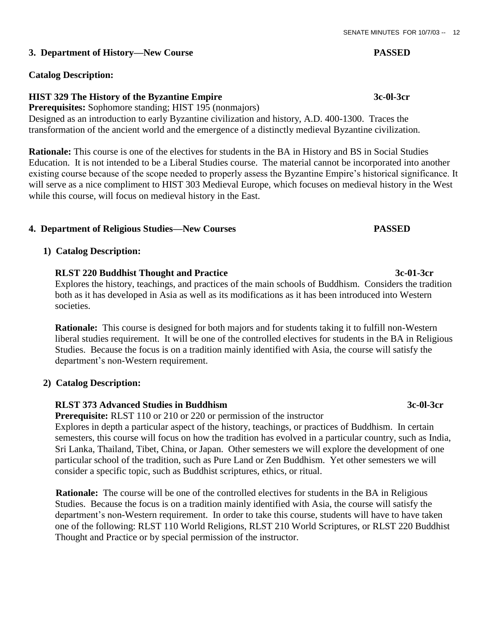# **3. Department of History—New Course PASSED**

# **Catalog Description:**

# **HIST 329 The History of the Byzantine Empire 3c-0l-3cr**

**Prerequisites:** Sophomore standing; HIST 195 (nonmajors) Designed as an introduction to early Byzantine civilization and history, A.D. 400-1300. Traces the transformation of the ancient world and the emergence of a distinctly medieval Byzantine civilization.

**Rationale:** This course is one of the electives for students in the BA in History and BS in Social Studies Education. It is not intended to be a Liberal Studies course. The material cannot be incorporated into another existing course because of the scope needed to properly assess the Byzantine Empire"s historical significance. It will serve as a nice compliment to HIST 303 Medieval Europe, which focuses on medieval history in the West while this course, will focus on medieval history in the East.

# **4. Department of Religious Studies—New Courses PASSED**

# **1) Catalog Description:**

# **RLST 220 Buddhist Thought and Practice 3c-01-3cr**

 Explores the history, teachings, and practices of the main schools of Buddhism. Considers the tradition both as it has developed in Asia as well as its modifications as it has been introduced into Western societies.

 **Rationale:** This course is designed for both majors and for students taking it to fulfill non-Western liberal studies requirement. It will be one of the controlled electives for students in the BA in Religious Studies. Because the focus is on a tradition mainly identified with Asia, the course will satisfy the department's non-Western requirement.

# **2) Catalog Description:**

# **RLST 373 Advanced Studies in Buddhism 3c-0l-3cr**

 **Prerequisite:** RLST 110 or 210 or 220 or permission of the instructor

 Explores in depth a particular aspect of the history, teachings, or practices of Buddhism. In certain semesters, this course will focus on how the tradition has evolved in a particular country, such as India, Sri Lanka, Thailand, Tibet, China, or Japan. Other semesters we will explore the development of one particular school of the tradition, such as Pure Land or Zen Buddhism. Yet other semesters we will consider a specific topic, such as Buddhist scriptures, ethics, or ritual.

**Rationale:** The course will be one of the controlled electives for students in the BA in Religious Studies. Because the focus is on a tradition mainly identified with Asia, the course will satisfy the department's non-Western requirement. In order to take this course, students will have to have taken one of the following: RLST 110 World Religions, RLST 210 World Scriptures, or RLST 220 Buddhist Thought and Practice or by special permission of the instructor.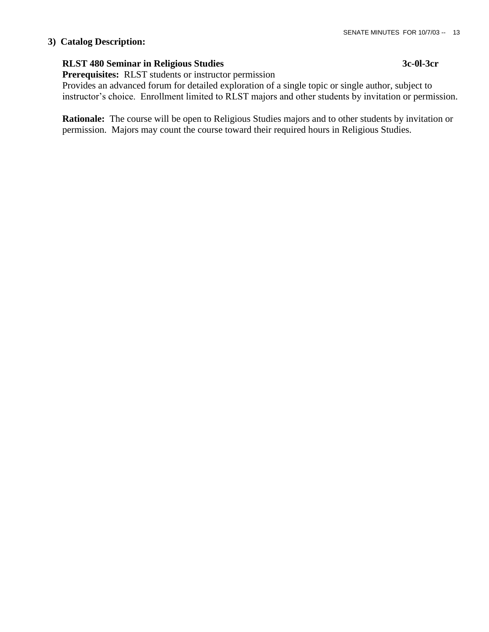## **3) Catalog Description:**

# **RLST 480 Seminar in Religious Studies 3c-0l-3cr**

**Prerequisites:** RLST students or instructor permission

 Provides an advanced forum for detailed exploration of a single topic or single author, subject to instructor's choice. Enrollment limited to RLST majors and other students by invitation or permission.

 **Rationale:** The course will be open to Religious Studies majors and to other students by invitation or permission. Majors may count the course toward their required hours in Religious Studies.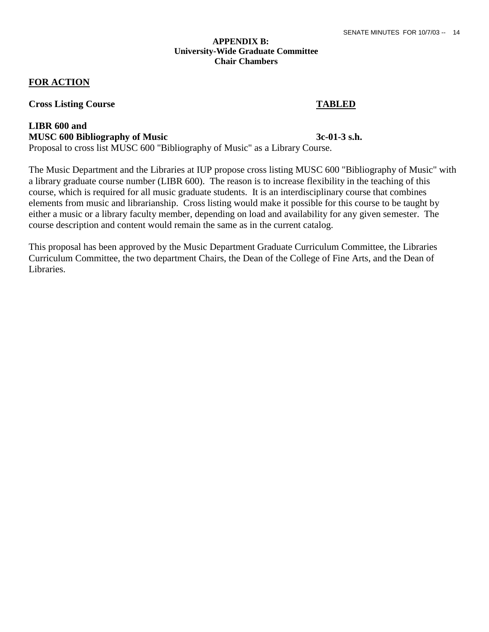## **APPENDIX B: University-Wide Graduate Committee Chair Chambers**

## **FOR ACTION**

## **Cross Listing Course TABLED**

# **LIBR 600 and MUSC 600 Bibliography of Music** 3c-01-3 s.h.

Proposal to cross list MUSC 600 "Bibliography of Music" as a Library Course.

The Music Department and the Libraries at IUP propose cross listing MUSC 600 "Bibliography of Music" with a library graduate course number (LIBR 600). The reason is to increase flexibility in the teaching of this course, which is required for all music graduate students. It is an interdisciplinary course that combines elements from music and librarianship. Cross listing would make it possible for this course to be taught by either a music or a library faculty member, depending on load and availability for any given semester. The course description and content would remain the same as in the current catalog.

This proposal has been approved by the Music Department Graduate Curriculum Committee, the Libraries Curriculum Committee, the two department Chairs, the Dean of the College of Fine Arts, and the Dean of Libraries.